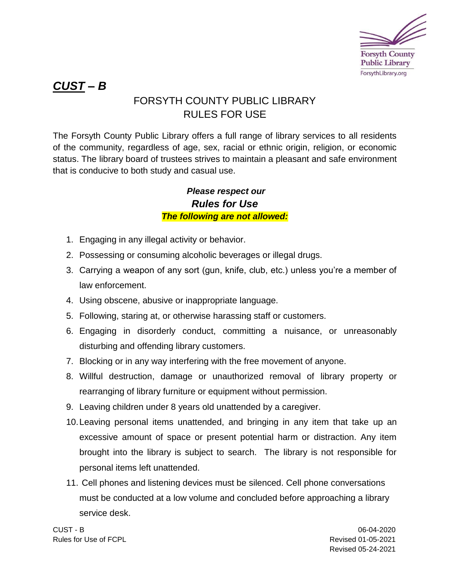

# *CUST – B*

## FORSYTH COUNTY PUBLIC LIBRARY RULES FOR USE

The Forsyth County Public Library offers a full range of library services to all residents of the community, regardless of age, sex, racial or ethnic origin, religion, or economic status. The library board of trustees strives to maintain a pleasant and safe environment that is conducive to both study and casual use.

### *Please respect our Rules for Use The following are not allowed:*

- 1. Engaging in any illegal activity or behavior.
- 2. Possessing or consuming alcoholic beverages or illegal drugs.
- 3. Carrying a weapon of any sort (gun, knife, club, etc.) unless you're a member of law enforcement.
- 4. Using obscene, abusive or inappropriate language.
- 5. Following, staring at, or otherwise harassing staff or customers.
- 6. Engaging in disorderly conduct, committing a nuisance, or unreasonably disturbing and offending library customers.
- 7. Blocking or in any way interfering with the free movement of anyone.
- 8. Willful destruction, damage or unauthorized removal of library property or rearranging of library furniture or equipment without permission.
- 9. Leaving children under 8 years old unattended by a caregiver.
- 10.Leaving personal items unattended, and bringing in any item that take up an excessive amount of space or present potential harm or distraction. Any item brought into the library is subject to search. The library is not responsible for personal items left unattended.
- 11. Cell phones and listening devices must be silenced. Cell phone conversations must be conducted at a low volume and concluded before approaching a library service desk.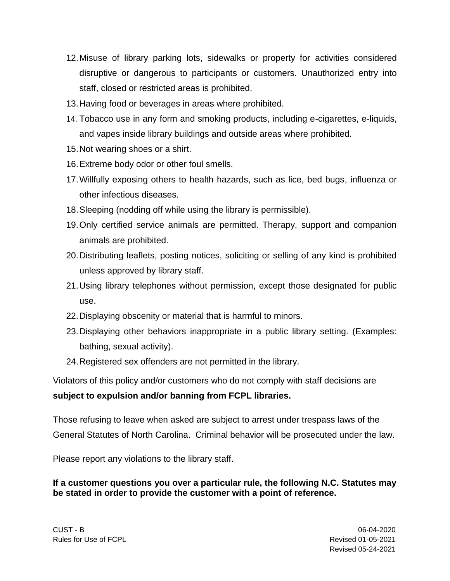- 12.Misuse of library parking lots, sidewalks or property for activities considered disruptive or dangerous to participants or customers. Unauthorized entry into staff, closed or restricted areas is prohibited.
- 13.Having food or beverages in areas where prohibited.
- 14. Tobacco use in any form and smoking products, including e-cigarettes, e-liquids, and vapes inside library buildings and outside areas where prohibited.
- 15.Not wearing shoes or a shirt.
- 16.Extreme body odor or other foul smells.
- 17.Willfully exposing others to health hazards, such as lice, bed bugs, influenza or other infectious diseases.
- 18.Sleeping (nodding off while using the library is permissible).
- 19.Only certified service animals are permitted. Therapy, support and companion animals are prohibited.
- 20.Distributing leaflets, posting notices, soliciting or selling of any kind is prohibited unless approved by library staff.
- 21.Using library telephones without permission, except those designated for public use.
- 22.Displaying obscenity or material that is harmful to minors.
- 23.Displaying other behaviors inappropriate in a public library setting. (Examples: bathing, sexual activity).
- 24.Registered sex offenders are not permitted in the library.

Violators of this policy and/or customers who do not comply with staff decisions are **subject to expulsion and/or banning from FCPL libraries.**

Those refusing to leave when asked are subject to arrest under trespass laws of the General Statutes of North Carolina. Criminal behavior will be prosecuted under the law.

Please report any violations to the library staff.

**If a customer questions you over a particular rule, the following N.C. Statutes may be stated in order to provide the customer with a point of reference.**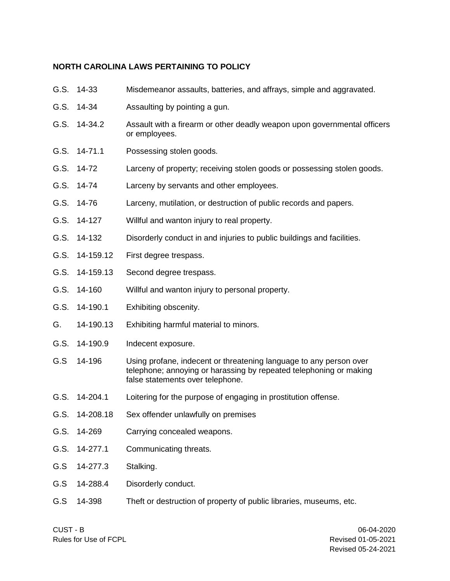#### **NORTH CAROLINA LAWS PERTAINING TO POLICY**

| G.S. | 14-33          | Misdemeanor assaults, batteries, and affrays, simple and aggravated.                                                                                                         |
|------|----------------|------------------------------------------------------------------------------------------------------------------------------------------------------------------------------|
| G.S. | 14-34          | Assaulting by pointing a gun.                                                                                                                                                |
| G.S. | 14-34.2        | Assault with a firearm or other deadly weapon upon governmental officers<br>or employees.                                                                                    |
| G.S. | 14-71.1        | Possessing stolen goods.                                                                                                                                                     |
| G.S. | 14-72          | Larceny of property; receiving stolen goods or possessing stolen goods.                                                                                                      |
| G.S. | 14-74          | Larceny by servants and other employees.                                                                                                                                     |
| G.S. | 14-76          | Larceny, mutilation, or destruction of public records and papers.                                                                                                            |
| G.S. | 14-127         | Willful and wanton injury to real property.                                                                                                                                  |
| G.S. | 14-132         | Disorderly conduct in and injuries to public buildings and facilities.                                                                                                       |
| G.S. | 14-159.12      | First degree trespass.                                                                                                                                                       |
| G.S. | 14-159.13      | Second degree trespass.                                                                                                                                                      |
| G.S. | 14-160         | Willful and wanton injury to personal property.                                                                                                                              |
| G.S. | 14-190.1       | Exhibiting obscenity.                                                                                                                                                        |
| G.   | 14-190.13      | Exhibiting harmful material to minors.                                                                                                                                       |
| G.S. | 14-190.9       | Indecent exposure.                                                                                                                                                           |
| G.S  | 14-196         | Using profane, indecent or threatening language to any person over<br>telephone; annoying or harassing by repeated telephoning or making<br>false statements over telephone. |
| G.S. | 14-204.1       | Loitering for the purpose of engaging in prostitution offense.                                                                                                               |
|      | G.S. 14-208.18 | Sex offender unlawfully on premises                                                                                                                                          |
| G.S. | 14-269         | Carrying concealed weapons.                                                                                                                                                  |
| G.S. | 14-277.1       | Communicating threats.                                                                                                                                                       |
| G.S  | 14-277.3       | Stalking.                                                                                                                                                                    |
| G.S  | 14-288.4       | Disorderly conduct.                                                                                                                                                          |
| G.S  | 14-398         | Theft or destruction of property of public libraries, museums, etc.                                                                                                          |